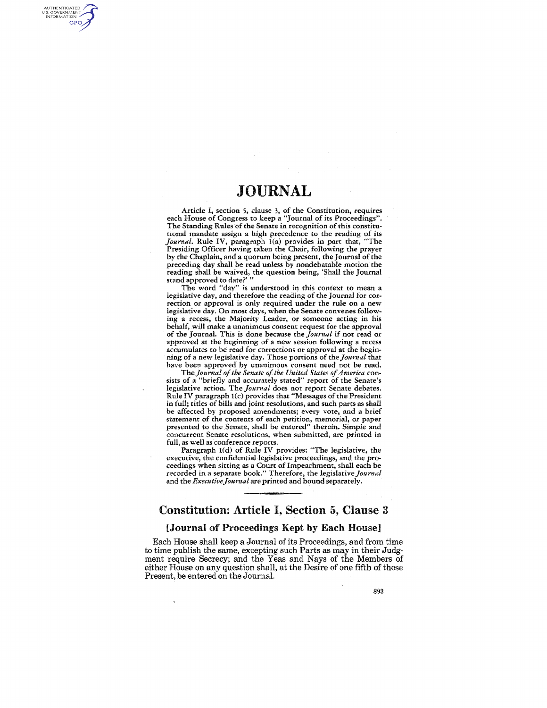AUTHENTICATED U.S. GOVERNMENT GPO

> Article I, section 5, clause 3, of the Constitution, requires each House of Congress to keep a "Journal of its Proceedings". The Standing Rules of the Senate in recognition of this constitutional mandate assign a high precedence to the reading of its Journal. Rule IV, paragraph 1(a) provides in part that, "The Presiding Officer having taken the Chair, following the prayer by the Chaplain, and a quorum being present, the Journal of the preceding day shall be read unless by nondebatable motion the reading shall be waived, the question being, 'Shall the Journal stand approved to date?'

> The word "day" is understood in this context to mean a legislative day, and therefore the reading of the Journal for correction or approval is only required under the rule on a new legislative day. On most days, when the Senate convenes following a recess, the Majority Leader, or someone acting in his behalf, will make a unanimous consent request for the approval of the Journal. This is done because the *Journal* if not read or approved at the beginning of a new session following a recess accumulates to be read for corrections or approval at the beginning of a new legislative day. Those portions of the *Journal* that have been approved by unanimous consent need not be read.

> *TheJounzal 0/ the Senate 0/ the United States o/America* con· sists of a "briefly and accurately stated" report of the Senate's legislative action. The *Journal* does not report Senate debates. Rule IV paragraph 1(c) provides that "Messages of the President in full; titles of bills and joint resolutions, and such parts as shall be affected by proposed amendments; every vote, and a brief statement of the contents of each petition, memorial, or paper presented to the Senate, shall be entered" therein. Simple and concurrent Senate resolutions, when submitted, are printed in full, as well as conference reports.

> Paragraph I(d) of Rule IV provides: "The legislative, the executive, the confidential legislative proceedings, and the proceedings when sitting as a Court of Impeachment, shall each be recorded in a separate book." Therefore, the *legislativeJournal*  and the *ExecutiveJounzal* are printed and bound separately.

## Constitution: Article I, Section 5, Clause 3

#### [Journal of Proceedings Kept by Each Housel

Each House shall keep a Journal of its Proceedings, and from time to time publish the same, excepting such Parts as may in their Judgment require Secrecy; and the Yeas and Nays of the Memhers of either House on any question shall, at the Desire of one fifth of those Present, be entered on the Journal.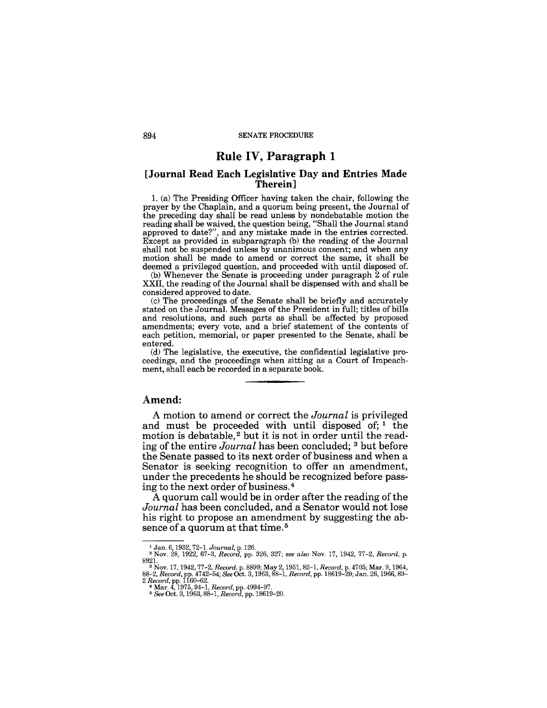# Rule IV, Paragraph 1

#### [Journal Read Each Legislative Day and Entries Made Therein]

1. (a) The Presiding Officer having taken the chair, following the prayer by the Chaplain, and a quorum being present, the Journal of the preceding day shall be read unless by nondebatable motion the reading shall be waived, the question being, "Shall the Journal stand approved to date?", and any mistake made in the entries corrected. Except as provided in subparagraph (b) the reading of the Journal shall not be suspended unless by unanimous consent; and when any motion shall be made to amend or correct the same, it shall be deemed a privileged question, and proceeded with until disposed of.

(b) Whenever the Senate is proceeding under paragraph 2 of rule XXII, the reading of the Journal shall be dispensed with and shall be considered approved to date.

(c) The proceedings of the Senate shall be briefly and accurately stated on the Journal. Messages of the President in full; titles of bills and resolutions, and such parts as shall be affected by proposed amendments; every vote, and a brief statement of the contents of each petition, memorial, or paper presented to the Senate, shall be entered.

(d) The legislative, the executive, the confidential legislative proceedings, and the proceedings when sitting as a Court of Impeachment, shall each be recorded in a separate book.

### Amend:

A motion to amend or correct the *Journal* is privileged and must be proceeded with until disposed of;  $1$  the motion is debatable,<sup>2</sup> but it is not in order until the reading of the entire *Journal* has been concluded; 3 but before the Senate passed to its next order of business and when a Senator is seeking recognition to offer an amendment, under the precedents he should be recognized before passing to the next order of business. 4

A quorum call would be in order after the reading of the *Journal* has been concluded, and a Senator would not lose his right to propose an amendment by suggesting the absence of a quorum at that time. 5

<sup>1</sup> Jan. 6, 1932, 72-1. *Journal,* p. 126.

<sup>2</sup>Nov. 28, 1922, 67-3, *Record,* pp. 326, 327; *see also* Nov. 17, 1942, 77-2, *Record,* p.

<sup>8921.&</sup>lt;br>
<sup>3</sup> Nov. 17, 1942, 77-2, *Record.* p. 8899; May 2, 1951, 82-1, *Record*, p. 4705; Mar. 9, 1964,<br>
88-2, *Record, pp. 1742-54; See* Oct. 3, 1963, 88-1, *Record, pp.* 18619-20; Jan. 26, 1966, 89-<br> *2 Record, pp. 1160-6*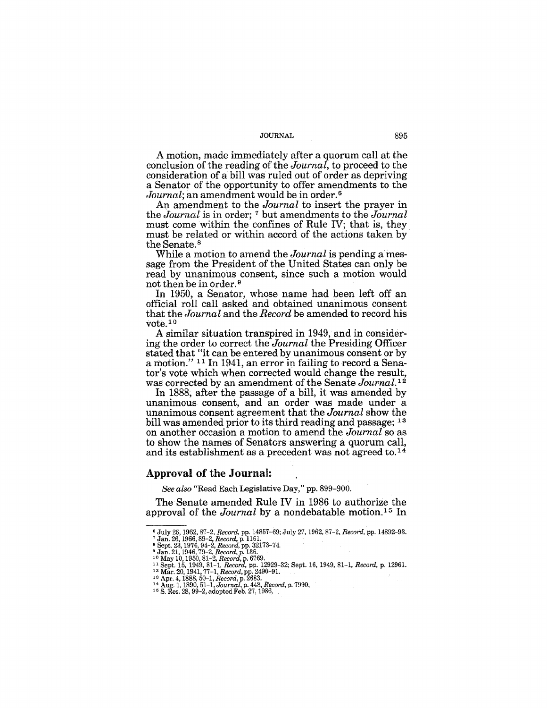A motion, made immediately after a quorum call at the conclusion of the reading of the *Journal,* to proceed to the consideration of a bill was ruled out of order as depriving a Senator of the opportunity to offer amendments to the Journal; an amendment would be in order.<sup>6</sup>

An amendment to the *Journal* to insert the prayer in the *Journal* is in order; 7 but amendments to the *Journal*  must come within the confines of Rule IV; that is, they must be related or within accord of the actions taken by the Senate. 8

While a motion to amend the *Journal* is pending a message from the President of the United States can only be read by unanimous consent, since such a motion would not then be in order. 9

In 1950, a Senator, whose name had been left off an official roll call asked and obtained unanimous consent that the *Journal* and the *Record* be amended to record his vote. 10

A similar situation transpired in 1949, and in considering the order to correct the *Journal* the Presiding Officer stated that "it can be entered by unanimous consent or by a motion." 11 In 1941, an error in failing to record a Senator's vote which when corrected would change the result, was corrected by an amendment of the Senate *Journal.* 12

In 1888, after the passage of a bill, it was amended by unanimous consent, and an order was made under a unanimous consent agreement that the *Journal* show the bill was amended prior to its third reading and passage; <sup>13</sup> on another occasion a motion to amend the *Journal* so as to show the names of Senators answering a quorum call, and its establishment as a precedent was not agreed to.14

#### Approval **of** the Journal:

*See also* "Read Each Legislative Day," pp. 899-900.

The Senate amended Rule IV in 1986 to authorize the approval of the *Journal* by a nondebatable motion. 15 In

<sup>&</sup>lt;sup>6</sup> July 26, 1962, 87–2, *Record,* pp. 14857–69; July 27, 1962, 87–2, *Record,* pp. 14892–93.<br><sup>7</sup> Jan. 26, 1966, 89–2, *Record*, p. 1161.<br><sup>8</sup> Sept. 23, 1976, 94–2, *Record*, p. 32173–74.<br><sup>9</sup> Jan. 21, 1946, 79–2, *Record*,

<sup>&</sup>lt;sup>11</sup> Sept. 15, 1949, 81–1, *Record*, pp. 12929–32; Sept. 16, 1949, 81–1, *Record*, p. 12961.<br><sup>12</sup> Mar. 20, 1941, 77–1, *Record*, pp. 2490–91.<br><sup>13</sup> Apr. 4, 1888, 50–1, *Record*, p. 2683.<br><sup>14</sup> Aug. 1, 1890, 51–1, *Journal*,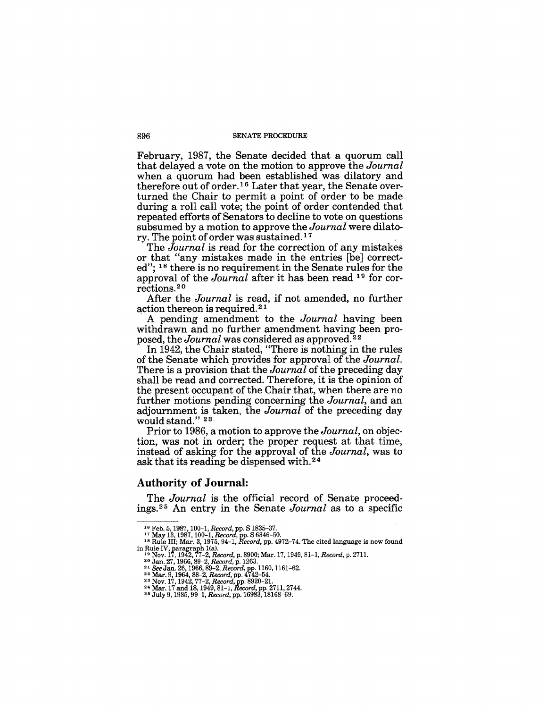#### 896 SENATE PROCEDURE

February, 1987, the Senate decided that a quorum call that delayed a vote on the motion to approve the *Journal*  when a quorum had been established was dilatory and therefore out of order. 16 Later that year, the Senate overturned the Chair to permit a point of order to be made during a roll call vote; the point of order contended that repeated efforts of Senators to decline to vote on questions subsumed by a motion to approve the *Journal* were dilatory. The point of order was sustained. 1 7

The *Journal* is read for the correction of any mistakes or that "any mistakes made in the entries [be] corrected"; 18 there is no requirement in the Senate rules for the approval of the *Journal* after it has been read 19 for corrections. 2 0

After the *Journal* is read, if not amended, no further action thereon is required. 2 1

A pending amendment to the *Journal* having been withdrawn and no further amendment having been proposed, the *Journal* was considered as approved.<sup>22</sup>

In 1942, the Chair stated, "There is nothing in the rules of the Senate which provides for approval of the *Journal.*  There is a provision that the *Journal* of the preceding day shall be read and corrected. Therefore, it is the opinion of the present occupant of the Chair that, when there are no further motions pending concerning the *Journal,* and an adjournment is taken, the *Journal* of the preceding day would stand."<sup>23</sup>

Prior to 1986, a motion to approve the *Journal,* on objection, was not in order; the proper request at that time, instead of asking for the approval of the *Journal,* was to ask that its reading be dispensed with. 24

## **Authority of Journal:**

The *Journal* is the official record of Senate proceedings.<sup>25</sup> An entry in the Senate *Journal* as to a specific

<sup>&</sup>lt;sup>16</sup> Feb. 5, 1987, 100-1, *Record,* pp. S 1835–37.<br><sup>17</sup> May 13, 1987, 100-1, *Record,* pp. S 6346-50.<br><sup>18</sup> Rule III; Mar. 3, 1975, 94-1, *Record,* pp. 4972-74. The cited language is now found in Rule IV, paragraph 1(a).<br><sup>19</sup> Nov. 17, 1942, 77–2, *Record*, p. 8900; Mar. 17, 1949, 81–1, *Record*, p. 2711.<br><sup>20</sup> Jan. 27, 1966, 89–2, *Record*, p. 1263.<br><sup>21</sup> See Jan. 26, 1966, 89–2, *Record*, pp. 1160, 1161–62.<br><sup>22</sup>

<sup>&</sup>lt;sup>23</sup> Nov. 17, 1942, 77–2, *Record*, pp. 8920–21.<br><sup>24</sup> Mar. 17 and 18, 1949, 81–1, *Record*, pp. 2711, 2744.<br><sup>25</sup> July 9, 1985, 99–1, *Record*, pp. 16983, 18168–69.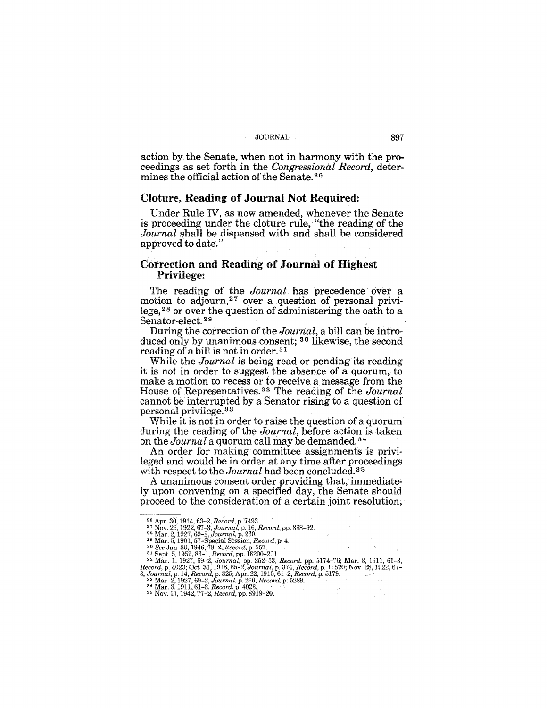action by the Senate, when not in harmony with the proceedings as set forth in the *Congressional Record,* determines the official action of the Senate. 26

#### Cloture, Reading of Journal Not Required:

Under Rule IV, as now amended, whenever the Senate is proceeding under the cloture rule, "the reading of the *Journal* shall be dispensed with and shall be considered approved to date."

## Correction and Reading of Journal of Highest Privilege:

The reading of the *Journal* has precedence over a motion to adjourn,<sup>27</sup> over a question of personal privilege,28 or over the question of administering the oath to a Senator-elect.<sup>29</sup>

During the correction of the *Journal,* a bill can be introduced only by unanimous consent; 30 likewise, the second reading of a bill is not in order. 31

While the *Journal* is being read or pending its reading it is not in order to suggest the absence of a quorum, to make a motion to recess or to receive a message from the House of Representatives. 32. The reading of the *Journal*  cannot be interrupted by a Senator rising to a question of personal privilege. 33

While it is not in order to raise the question of a quorum during the reading of the *Journal,* before action is taken on the *Journal* a quorum call may be demanded. <sup>34</sup>

An order for making committee assignments is privileged and would be in order at any time after proceedings with respect to the *Journal* had been concluded. 35

A unanimous consent order providing that, immediately upon convening on a specified day, the Senate should proceed to the consideration of a certain joint resolution,

<sup>&</sup>lt;sup>26</sup> Apr. 30, 1914, 63–2, *Record*, p. 7493.<br>
<sup>27</sup> Nov. 29, 1922, 67–3, *Journal*, p. 16, *Record*, pp. 388–92.<br>
<sup>28</sup> Mar. 5, 1997, 69–2, *Journal*, p. 160.<br>
<sup>29</sup> Mar. 5, 1901, 57–Special Session, *Record*, p. 4.<br>
<sup>30</sup> Se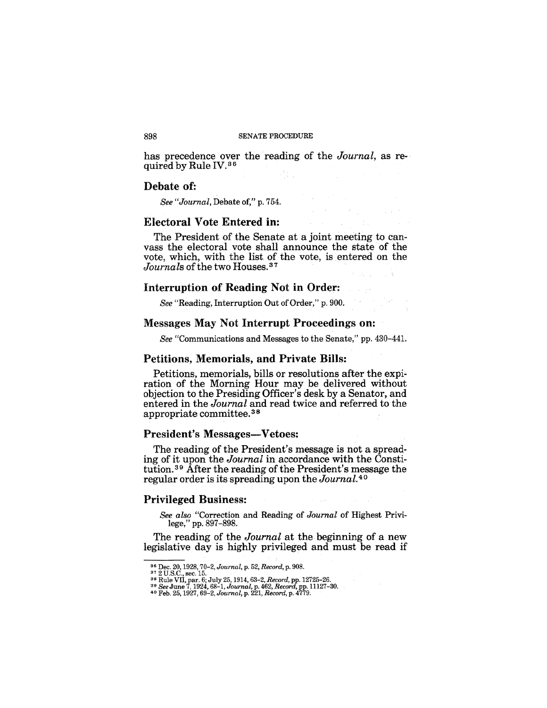#### 898 SENATE PROCEDURE

has precedence over the reading of the *Journal,* as required by Rule IV.36

#### Debate of:

*See "Journal,* Debate of," p. 754.

## Electoral Vote Entered in:

The President of the Senate at a joint meeting to canvass the electoral vote shall announce the state of the vote, which, with the list of the vote, is entered on the Journals of the two Houses.<sup>37</sup>

## Interruption of Reading Not in Order:

*See* "Reading, Interruption Out of Order," p. 900.

#### Messages May Not Interrupt Proceedings on:

*See* "Communications and Messages to the Senate," pp. 430-441.

## Petitions, Memorials, and Private Bills:

Petitions, memorials, bills or resolutions after the expiration of the Morning Hour may be delivered without objection to the Presiding Officer's desk by a Senator, and entered in the *Journal* and read twice and referred to the appropriate committee. 3 8

## President's Messages-Vetoes:

The reading of the President's message is not a spreading of it upon the *Journal* in accordance with the Constitution. 39 After the reading of the President's message the regular order is its spreading upon the *Journal.* 4 0

#### Privileged Business:

*See also* "Correction and Reading of *Journal* of Highest Privilege," pp. 897-898.

The reading of the *Journal* at the beginning of a new legislative day is highly privileged and must be read if

<sup>&</sup>lt;sup>36</sup> Dec. 20, 1928, 70–2, Journal, p. 52, Record, p. 908.<br><sup>37</sup> 2 U.S.C., sec. 15.<br><sup>38</sup> Rule VII, par. 6; July 25, 1914, 63–2, Record, pp. 12725–26.<br><sup>39</sup> See June 7, 1924, 68–1, Journal, p. 462, Record, pp. 11127–30.<br><sup>40</sup> F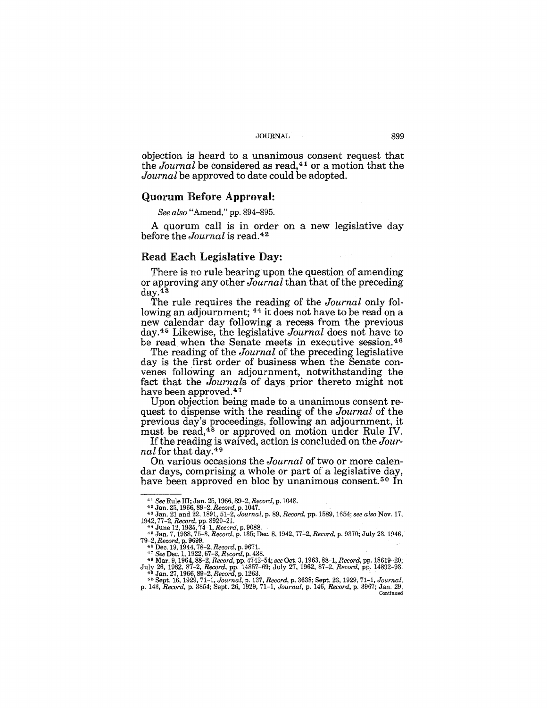objection is heard to a unanimous consent request that the *Journal* be considered as read,<sup>41</sup> or a motion that the *Journal* be approved to date could be adopted.

## Quorum Before Approval:

*See also* "Amend," pp. 894-895.

A quorum call is in order on a new legislative day before the *Journal* is read. <sup>42</sup>

#### Read Each Legislative Day:

There is no rule bearing upon the question of amending or approving any other *Journal* than that of the preceding day.43

The rule requires the reading of the *Journal* only following an adjournment; <sup>44</sup> it does not have to be read on a new calendar day following a recess from the previous day,45 Likewise, the legislative *Journal* does not have to be read when the Senate meets in executive session. 46

The reading of the *Journal* of the preceding legislative day is the first order of business when the Senate convenes following an adjournment, notwithstanding the fact that the *Journals* of days prior thereto might not have been approved.47

Upon objection being made to a unanimous consent request to dispense with the reading of the *Journal* of the previous day's proceedings, following an adjournment, it must be read,<sup>48</sup> or approved on motion under Rule IV.

On various occasions the *Journal* of two or more calendar days, comprising a whole or part of a legislative day, have been approved en bloc by unanimous consent.<sup>50</sup> In

If the reading is waived, action is concluded on the *Journal* for that day.49

<sup>41</sup>*See* Rule III; Jan. 25, 1966,89-2, *Record,* p. 1048. 42 Jan. 25, 1966,89-2, *Record,* p. 1047. 43 Jan. 21 and 22, 1891, 51-2, *Journal,* p. 89, *Record,* pp. 1589, 1654; *see also* Nov. 17,

*<sup>1942,77-2,</sup> Record,* pp. 8920-21. 44 June 12, 1935,74-1, *Record,* p. 9088. 45 Jan. 7, 1938,75-3, *Record,* p. 135; Dec. 8, 1942, 77-2, *Record,* p. 9370; July 23,1946, 79–2, Record, p. 9699.<br><sup>46</sup> Dec. 19, 1944, 78–2, Record, p. 9671.<br><sup>47</sup> See Dec. 1, 1922, 67–3, Record, p. 438.<br><sup>47</sup> Slar. 9, 1964, 88–2, Record, pp. 4742–54; see Oct. 3, 1963, 88–1, Record, pp. 18619–20;

July 26, 1962, 87-2, Record, pp. 14857-69; July 27, 1962, 87-2, Record, pp. 14892-93.<br><sup>49</sup> Jan. 27, 1966, 89-2, Record, p. 1263.<br><sup>50</sup> Sept. 16, 1929, 71-1, Journal, p. 137, Record, p. 3638; Sept. 23, 1929, 71-1, Journal,<br>p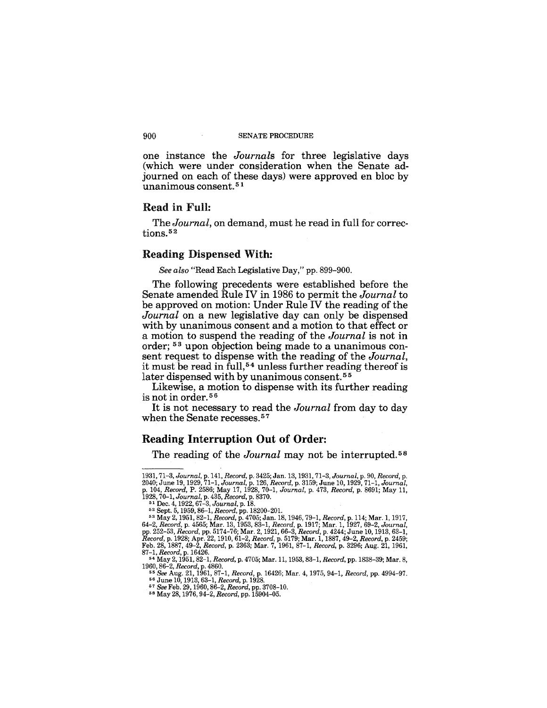#### 900 SENATE PROCEDURE

one instance the *Journals* for three legislative days (which were under consideration when the Senate adjourned on each of these days) were approved en bloc by unanimous consent. 5 1

#### Read in Full:

The *Journal,* on demand, must he read in full for corrections. 52

#### Reading Dispensed With:

*See also* "Read Each Legislative Day," pp. 899-900.

The following precedents were established before the Senate amended Rule IV in 1986 to permit the *Journal* to be approved on motion: Under Rule IV the reading of the *Journal* on a new legislative day can only be dispensed with by unanimous consent and a motion to that effect or a motion to suspend the reading of the *Journal* is not in order; 53 upon objection being made to a unanimous consent request to dispense with the reading of the *Journal,*  it must be read in full, 54 unless further reading thereof is later dispensed with by unanimous consent.<sup>55</sup>

Likewise, a motion to dispense with its further reading is not in order. <sup>56</sup>

It is not necessary to read the *Journal* from day to day when the Senate recesses.<sup>57</sup>

## Reading **Interruption Out of Order:**

The reading of the *Journal* may not be interrupted.<sup>58</sup>

<sup>1931, 71–3,</sup> Journal, p. 141, Record, p. 3425; Jan. 13, 1931, 71–3, Journal, p. 90, Record, p. 2040; June 19, 1929, 71–1, Journal, p. 126, Record, p. 3159; June 10, 1929, 71–1, Journal, p. 102, Record, P. 2086; May 17, 1928

*<sup>87-1,</sup> Record,* p.16426. 54 May 2, 1951, 82-1, *Record,* p. 4705; Mar. 11, 1953,83-1, *Record,* pp. 1838-39; Mar. 8,

*<sup>1960,86-2,</sup> Record,* p. 4860. *55 See* Aug. 21, 1961, 87-1, *Record,* p. 16426; Mar. 4, 1975, 94-1, *Record,* pp. 4994-97. 56 June 10, 1913, 63-1, *Record,* p. 1928.

<sup>57</sup>*See* Feb. 29, 1960,86-2, *Record,* pp. 3708-10. 58 May 28, 1976, 94-2, *Record,* pp. 15904-05.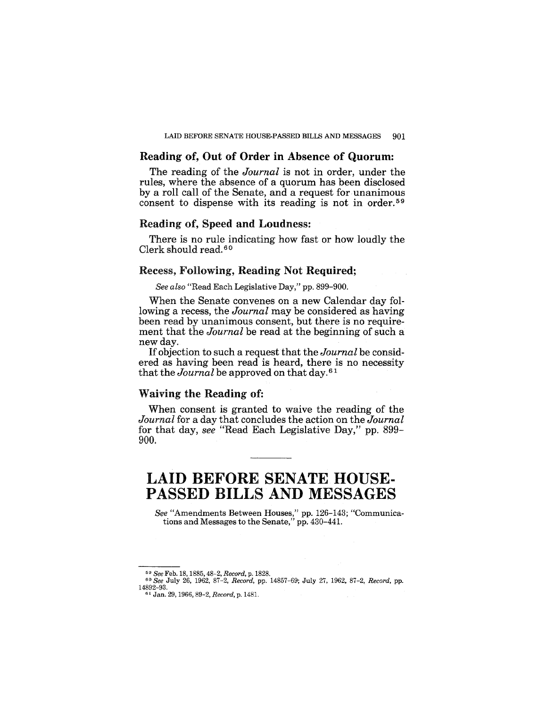## Reading of, Out of Order in Absence of Quorum:

The reading of the *Journal* is not in order, under the rules, where the absence of a quorum has been disclosed by a roll call of the Senate, and a request for unanimous consent to dispense with its reading is not in order. 59

## Reading of, Speed and Loudness:

There is no rule indicating how fast or how loudly the Clerk should read. 60

## Recess, Following, Reading Not Required;

*See also* "Read Each Legislative Day," pp. 899-900.

When the Senate convenes on a new Calendar day following a recess, the *Journal* may be considered as having been read by unanimous consent, but there is no requirement that the *Journal* be read at the beginning of such a new day.

If objection to such a request that the *Journal* be considered as having been read is heard, there is no necessity that the *Journal* be approved on that day. 61

## Waiving the Reading of:

When consent is granted to waive the reading of the *Journal* for a day that concludes the action on the *Journal*  for that day, *see* "Read Each Legislative Day," pp. 899- 900.

# LAID BEFORE SENATE HOUSE· PASSED BILLS AND MESSAGES

*See* "Amendments Between Houses," pp. 126-143; "Communications and Messages to the Senate," pp. 430-441.

<sup>59</sup>*See* Feb. 18, 1885,48-2, *Record,* p. 1828. *60 See* July 26, 1962, 87-2, *Record,* pp. 14857-69; July 27, 1962, 87-2, *Record,* pp. 14892-93.

<sup>61</sup> Jan. 29, 1966,89-2, *Record,* p. 1481.